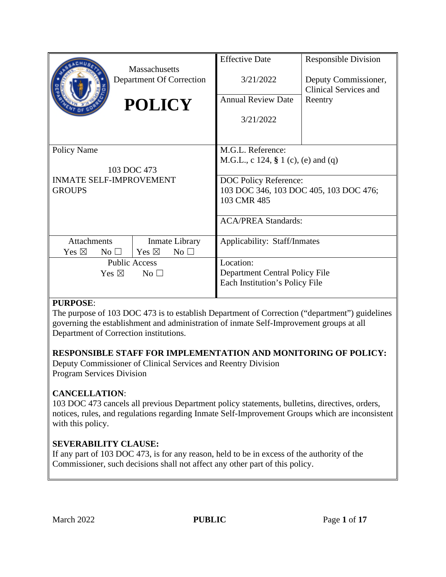|                                    |                                                  | <b>Effective Date</b>                  | <b>Responsible Division</b>                          |
|------------------------------------|--------------------------------------------------|----------------------------------------|------------------------------------------------------|
|                                    | <b>Massachusetts</b><br>Department Of Correction | 3/21/2022                              | Deputy Commissioner,<br><b>Clinical Services and</b> |
|                                    | <b>POLICY</b>                                    | <b>Annual Review Date</b>              | Reentry                                              |
|                                    |                                                  | 3/21/2022                              |                                                      |
|                                    |                                                  |                                        |                                                      |
| <b>Policy Name</b>                 |                                                  | M.G.L. Reference:                      |                                                      |
|                                    |                                                  | M.G.L., c 124, § 1 (c), (e) and (q)    |                                                      |
| 103 DOC 473                        |                                                  |                                        |                                                      |
| <b>INMATE SELF-IMPROVEMENT</b>     |                                                  | DOC Policy Reference:                  |                                                      |
| <b>GROUPS</b>                      |                                                  | 103 DOC 346, 103 DOC 405, 103 DOC 476; |                                                      |
|                                    |                                                  | 103 CMR 485                            |                                                      |
|                                    |                                                  | <b>ACA/PREA Standards:</b>             |                                                      |
| <b>Attachments</b>                 | Inmate Library                                   | Applicability: Staff/Inmates           |                                                      |
| Yes $\boxtimes$<br>No $\Box$       | Yes $\boxtimes$<br>No <sub>1</sub>               |                                        |                                                      |
| <b>Public Access</b>               |                                                  | Location:                              |                                                      |
| Yes $\boxtimes$<br>No <sub>1</sub> |                                                  | Department Central Policy File         |                                                      |
|                                    |                                                  | Each Institution's Policy File         |                                                      |
|                                    |                                                  |                                        |                                                      |

#### **PURPOSE**:

The purpose of 103 DOC 473 is to establish Department of Correction ("department") guidelines governing the establishment and administration of inmate Self-Improvement groups at all Department of Correction institutions.

#### **RESPONSIBLE STAFF FOR IMPLEMENTATION AND MONITORING OF POLICY:**

Deputy Commissioner of Clinical Services and Reentry Division Program Services Division

# **CANCELLATION**:

103 DOC 473 cancels all previous Department policy statements, bulletins, directives, orders, notices, rules, and regulations regarding Inmate Self-Improvement Groups which are inconsistent with this policy.

# **SEVERABILITY CLAUSE:**

If any part of 103 DOC 473, is for any reason, held to be in excess of the authority of the Commissioner, such decisions shall not affect any other part of this policy.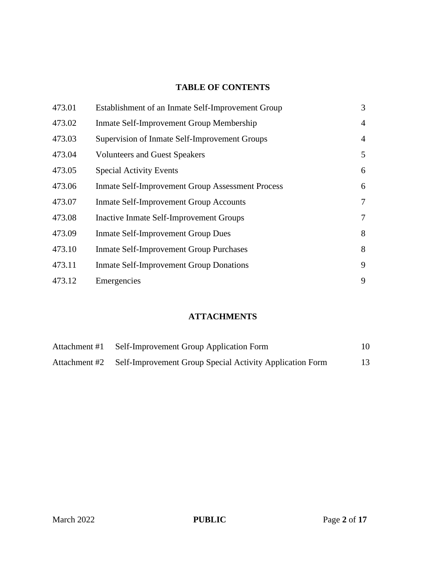## **TABLE OF CONTENTS**

| 473.01 | Establishment of an Inmate Self-Improvement Group       | 3              |
|--------|---------------------------------------------------------|----------------|
| 473.02 | Inmate Self-Improvement Group Membership                | $\overline{4}$ |
| 473.03 | Supervision of Inmate Self-Improvement Groups           | $\overline{4}$ |
| 473.04 | <b>Volunteers and Guest Speakers</b>                    | 5              |
| 473.05 | <b>Special Activity Events</b>                          | 6              |
| 473.06 | <b>Inmate Self-Improvement Group Assessment Process</b> | 6              |
| 473.07 | <b>Inmate Self-Improvement Group Accounts</b>           | $\overline{7}$ |
| 473.08 | <b>Inactive Inmate Self-Improvement Groups</b>          | 7              |
| 473.09 | <b>Inmate Self-Improvement Group Dues</b>               | 8              |
| 473.10 | <b>Inmate Self-Improvement Group Purchases</b>          | 8              |
| 473.11 | <b>Inmate Self-Improvement Group Donations</b>          | 9              |
| 473.12 | Emergencies                                             | 9              |

# **ATTACHMENTS**

| Attachment #1 | Self-Improvement Group Application Form                                | 10 |
|---------------|------------------------------------------------------------------------|----|
|               | Attachment #2 Self-Improvement Group Special Activity Application Form | 13 |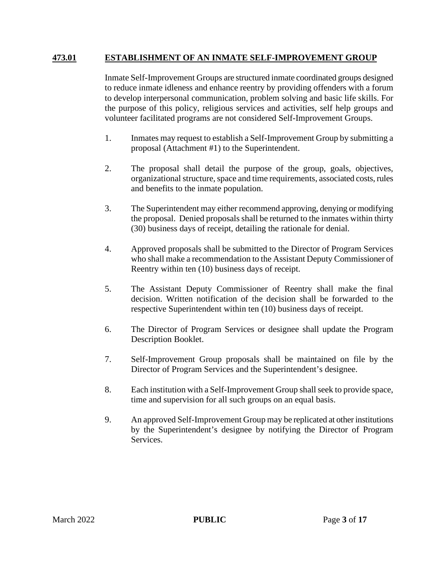### **473.01 ESTABLISHMENT OF AN INMATE SELF-IMPROVEMENT GROUP**

Inmate Self-Improvement Groups are structured inmate coordinated groups designed to reduce inmate idleness and enhance reentry by providing offenders with a forum to develop interpersonal communication, problem solving and basic life skills. For the purpose of this policy, religious services and activities, self help groups and volunteer facilitated programs are not considered Self-Improvement Groups.

- 1. Inmates may request to establish a Self-Improvement Group by submitting a proposal (Attachment #1) to the Superintendent.
- 2. The proposal shall detail the purpose of the group, goals, objectives, organizational structure, space and time requirements, associated costs, rules and benefits to the inmate population.
- 3. The Superintendent may either recommend approving, denying or modifying the proposal. Denied proposals shall be returned to the inmates within thirty (30) business days of receipt, detailing the rationale for denial.
- 4. Approved proposals shall be submitted to the Director of Program Services who shall make a recommendation to the Assistant Deputy Commissioner of Reentry within ten (10) business days of receipt.
- 5. The Assistant Deputy Commissioner of Reentry shall make the final decision. Written notification of the decision shall be forwarded to the respective Superintendent within ten (10) business days of receipt.
- 6. The Director of Program Services or designee shall update the Program Description Booklet.
- 7. Self-Improvement Group proposals shall be maintained on file by the Director of Program Services and the Superintendent's designee.
- 8. Each institution with a Self-Improvement Group shall seek to provide space, time and supervision for all such groups on an equal basis.
- 9. An approved Self-Improvement Group may be replicated at other institutions by the Superintendent's designee by notifying the Director of Program Services.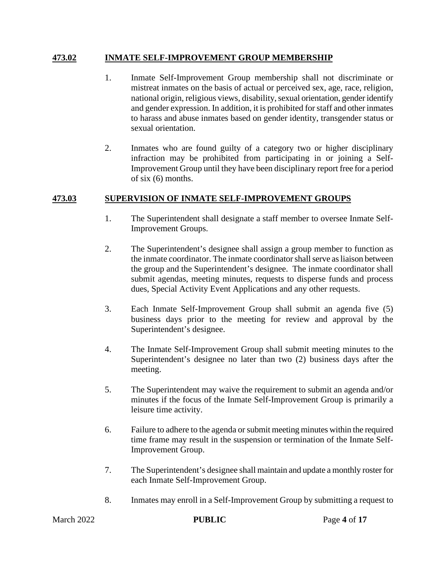#### **473.02 INMATE SELF-IMPROVEMENT GROUP MEMBERSHIP**

- 1. Inmate Self-Improvement Group membership shall not discriminate or mistreat inmates on the basis of actual or perceived sex, age, race, religion, national origin, religious views, disability, sexual orientation, gender identify and gender expression. In addition, it is prohibited for staff and other inmates to harass and abuse inmates based on gender identity, transgender status or sexual orientation.
- 2. Inmates who are found guilty of a category two or higher disciplinary infraction may be prohibited from participating in or joining a Self-Improvement Group until they have been disciplinary report free for a period of six (6) months.

#### **473.03 SUPERVISION OF INMATE SELF-IMPROVEMENT GROUPS**

- 1. The Superintendent shall designate a staff member to oversee Inmate Self-Improvement Groups.
- 2. The Superintendent's designee shall assign a group member to function as the inmate coordinator. The inmate coordinator shall serve as liaison between the group and the Superintendent's designee. The inmate coordinator shall submit agendas, meeting minutes, requests to disperse funds and process dues, Special Activity Event Applications and any other requests.
- 3. Each Inmate Self-Improvement Group shall submit an agenda five (5) business days prior to the meeting for review and approval by the Superintendent's designee.
- 4. The Inmate Self-Improvement Group shall submit meeting minutes to the Superintendent's designee no later than two (2) business days after the meeting.
- 5. The Superintendent may waive the requirement to submit an agenda and/or minutes if the focus of the Inmate Self-Improvement Group is primarily a leisure time activity.
- 6. Failure to adhere to the agenda or submit meeting minutes within the required time frame may result in the suspension or termination of the Inmate Self-Improvement Group.
- 7. The Superintendent's designee shall maintain and update a monthly roster for each Inmate Self-Improvement Group.
- 8. Inmates may enroll in a Self-Improvement Group by submitting a request to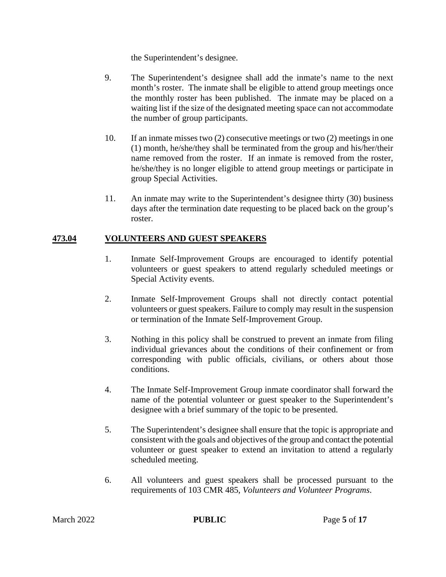the Superintendent's designee.

- 9. The Superintendent's designee shall add the inmate's name to the next month's roster. The inmate shall be eligible to attend group meetings once the monthly roster has been published. The inmate may be placed on a waiting list if the size of the designated meeting space can not accommodate the number of group participants.
- 10. If an inmate misses two (2) consecutive meetings or two (2) meetings in one (1) month, he/she/they shall be terminated from the group and his/her/their name removed from the roster. If an inmate is removed from the roster, he/she/they is no longer eligible to attend group meetings or participate in group Special Activities.
- 11. An inmate may write to the Superintendent's designee thirty (30) business days after the termination date requesting to be placed back on the group's roster.

#### **473.04 VOLUNTEERS AND GUEST SPEAKERS**

- 1. Inmate Self-Improvement Groups are encouraged to identify potential volunteers or guest speakers to attend regularly scheduled meetings or Special Activity events.
- 2. Inmate Self-Improvement Groups shall not directly contact potential volunteers or guest speakers. Failure to comply may result in the suspension or termination of the Inmate Self-Improvement Group.
- 3. Nothing in this policy shall be construed to prevent an inmate from filing individual grievances about the conditions of their confinement or from corresponding with public officials, civilians, or others about those conditions.
- 4. The Inmate Self-Improvement Group inmate coordinator shall forward the name of the potential volunteer or guest speaker to the Superintendent's designee with a brief summary of the topic to be presented.
- 5. The Superintendent's designee shall ensure that the topic is appropriate and consistent with the goals and objectives of the group and contact the potential volunteer or guest speaker to extend an invitation to attend a regularly scheduled meeting.
- 6. All volunteers and guest speakers shall be processed pursuant to the requirements of 103 CMR 485, *Volunteers and Volunteer Programs*.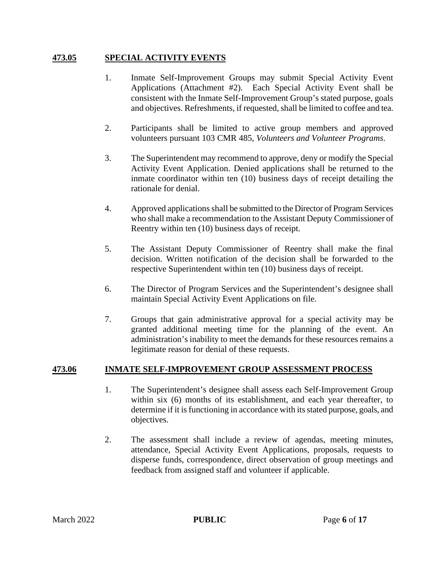### **473.05 SPECIAL ACTIVITY EVENTS**

- 1. Inmate Self-Improvement Groups may submit Special Activity Event Applications (Attachment #2). Each Special Activity Event shall be consistent with the Inmate Self-Improvement Group's stated purpose, goals and objectives. Refreshments, if requested, shall be limited to coffee and tea.
- 2. Participants shall be limited to active group members and approved volunteers pursuant 103 CMR 485, *Volunteers and Volunteer Programs*.
- 3. The Superintendent may recommend to approve, deny or modify the Special Activity Event Application. Denied applications shall be returned to the inmate coordinator within ten (10) business days of receipt detailing the rationale for denial.
- 4. Approved applications shall be submitted to the Director of Program Services who shall make a recommendation to the Assistant Deputy Commissioner of Reentry within ten (10) business days of receipt.
- 5. The Assistant Deputy Commissioner of Reentry shall make the final decision. Written notification of the decision shall be forwarded to the respective Superintendent within ten (10) business days of receipt.
- 6. The Director of Program Services and the Superintendent's designee shall maintain Special Activity Event Applications on file.
- 7. Groups that gain administrative approval for a special activity may be granted additional meeting time for the planning of the event. An administration's inability to meet the demands for these resources remains a legitimate reason for denial of these requests.

#### **473.06 INMATE SELF-IMPROVEMENT GROUP ASSESSMENT PROCESS**

- 1. The Superintendent's designee shall assess each Self-Improvement Group within six (6) months of its establishment, and each year thereafter, to determine if it is functioning in accordance with its stated purpose, goals, and objectives.
- 2. The assessment shall include a review of agendas, meeting minutes, attendance, Special Activity Event Applications, proposals, requests to disperse funds, correspondence, direct observation of group meetings and feedback from assigned staff and volunteer if applicable.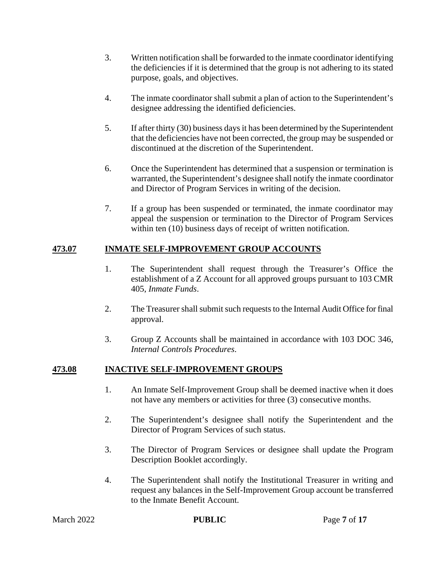- 3. Written notification shall be forwarded to the inmate coordinator identifying the deficiencies if it is determined that the group is not adhering to its stated purpose, goals, and objectives.
- 4. The inmate coordinator shall submit a plan of action to the Superintendent's designee addressing the identified deficiencies.
- 5. If after thirty (30) business days it has been determined by the Superintendent that the deficiencies have not been corrected, the group may be suspended or discontinued at the discretion of the Superintendent.
- 6. Once the Superintendent has determined that a suspension or termination is warranted, the Superintendent's designee shall notify the inmate coordinator and Director of Program Services in writing of the decision.
- 7. If a group has been suspended or terminated, the inmate coordinator may appeal the suspension or termination to the Director of Program Services within ten (10) business days of receipt of written notification.

# **473.07 INMATE SELF-IMPROVEMENT GROUP ACCOUNTS**

- 1. The Superintendent shall request through the Treasurer's Office the establishment of a Z Account for all approved groups pursuant to 103 CMR 405, *Inmate Funds*.
- 2. The Treasurer shall submit such requests to the Internal Audit Office for final approval.
- 3. Group Z Accounts shall be maintained in accordance with 103 DOC 346, *Internal Controls Procedures*.

#### **473.08 INACTIVE SELF-IMPROVEMENT GROUPS**

- 1. An Inmate Self-Improvement Group shall be deemed inactive when it does not have any members or activities for three (3) consecutive months.
- 2. The Superintendent's designee shall notify the Superintendent and the Director of Program Services of such status.
- 3. The Director of Program Services or designee shall update the Program Description Booklet accordingly.
- 4. The Superintendent shall notify the Institutional Treasurer in writing and request any balances in the Self-Improvement Group account be transferred to the Inmate Benefit Account.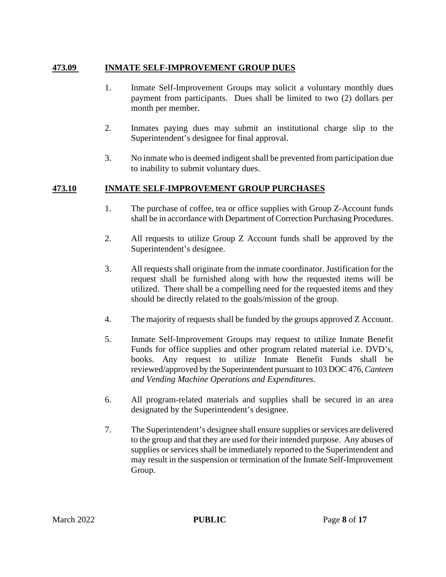### **473.09 INMATE SELF-IMPROVEMENT GROUP DUES**

- 1. Inmate Self-Improvement Groups may solicit a voluntary monthly dues payment from participants. Dues shall be limited to two (2) dollars per month per member.
- 2. Inmates paying dues may submit an institutional charge slip to the Superintendent's designee for final approval.
- 3. No inmate who is deemed indigent shall be prevented from participation due to inability to submit voluntary dues.

# **473.10 INMATE SELF-IMPROVEMENT GROUP PURCHASES**

- 1. The purchase of coffee, tea or office supplies with Group Z-Account funds shall be in accordance with Department of Correction Purchasing Procedures.
- 2. All requests to utilize Group Z Account funds shall be approved by the Superintendent's designee.
- 3. All requests shall originate from the inmate coordinator. Justification for the request shall be furnished along with how the requested items will be utilized. There shall be a compelling need for the requested items and they should be directly related to the goals/mission of the group.
- 4. The majority of requests shall be funded by the groups approved Z Account.
- 5. Inmate Self-Improvement Groups may request to utilize Inmate Benefit Funds for office supplies and other program related material i.e. DVD's, books. Any request to utilize Inmate Benefit Funds shall be reviewed/approved by the Superintendent pursuant to 103 DOC 476,*Canteen and Vending Machine Operations and Expenditures*.
- 6. All program-related materials and supplies shall be secured in an area designated by the Superintendent's designee.
- 7. The Superintendent's designee shall ensure supplies or services are delivered to the group and that they are used for their intended purpose. Any abuses of supplies or services shall be immediately reported to the Superintendent and may result in the suspension or termination of the Inmate Self-Improvement Group.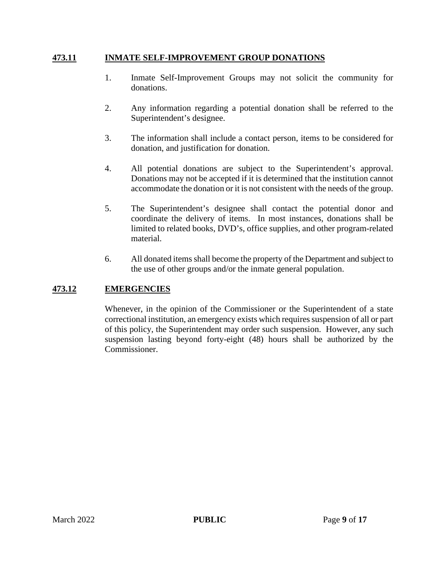#### **473.11 INMATE SELF-IMPROVEMENT GROUP DONATIONS**

- 1. Inmate Self-Improvement Groups may not solicit the community for donations.
- 2. Any information regarding a potential donation shall be referred to the Superintendent's designee.
- 3. The information shall include a contact person, items to be considered for donation, and justification for donation.
- 4. All potential donations are subject to the Superintendent's approval. Donations may not be accepted if it is determined that the institution cannot accommodate the donation or it is not consistent with the needs of the group.
- 5. The Superintendent's designee shall contact the potential donor and coordinate the delivery of items. In most instances, donations shall be limited to related books, DVD's, office supplies, and other program-related material.
- 6. All donated items shall become the property of the Department and subject to the use of other groups and/or the inmate general population.

### **473.12 EMERGENCIES**

Whenever, in the opinion of the Commissioner or the Superintendent of a state correctional institution, an emergency exists which requires suspension of all or part of this policy, the Superintendent may order such suspension. However, any such suspension lasting beyond forty-eight (48) hours shall be authorized by the Commissioner.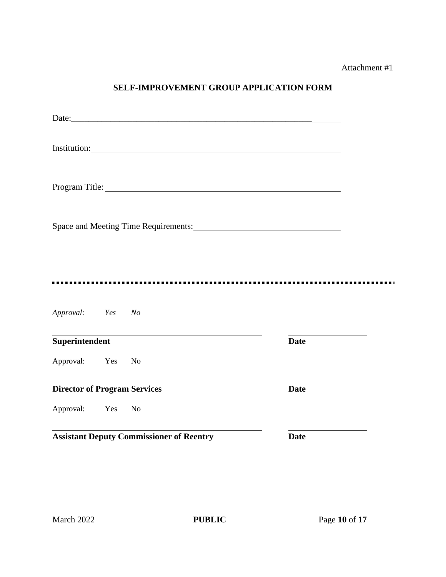Attachment #1

# **SELF-IMPROVEMENT GROUP APPLICATION FORM**

|                                     |        | Institution: New York Changes and Security and Security and Security and Security and Security and Security and Security and Security and Security and Security and Security and Security and Security and Security and Securi |             |  |
|-------------------------------------|--------|--------------------------------------------------------------------------------------------------------------------------------------------------------------------------------------------------------------------------------|-------------|--|
|                                     |        |                                                                                                                                                                                                                                |             |  |
|                                     |        | Space and Meeting Time Requirements:                                                                                                                                                                                           |             |  |
|                                     |        |                                                                                                                                                                                                                                |             |  |
| Approval: Yes No                    |        |                                                                                                                                                                                                                                |             |  |
| Superintendent                      |        |                                                                                                                                                                                                                                | <b>Date</b> |  |
| Approval: Yes                       |        | $\mathbf{N}\mathbf{o}$                                                                                                                                                                                                         |             |  |
| <b>Director of Program Services</b> |        |                                                                                                                                                                                                                                | <b>Date</b> |  |
| Approval:                           | Yes No |                                                                                                                                                                                                                                |             |  |
|                                     |        | <b>Assistant Deputy Commissioner of Reentry</b>                                                                                                                                                                                | <b>Date</b> |  |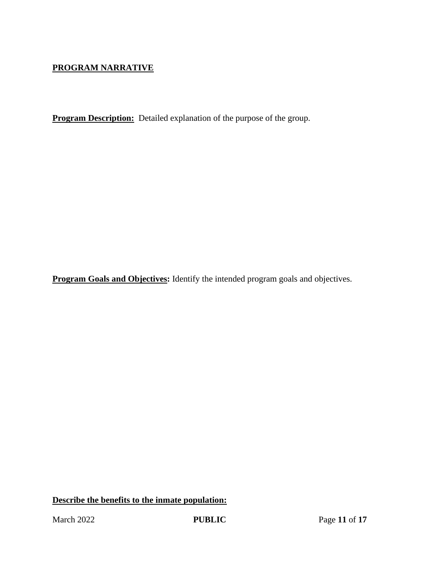# **PROGRAM NARRATIVE**

**Program Description:** Detailed explanation of the purpose of the group.

**Program Goals and Objectives:** Identify the intended program goals and objectives.

**Describe the benefits to the inmate population:**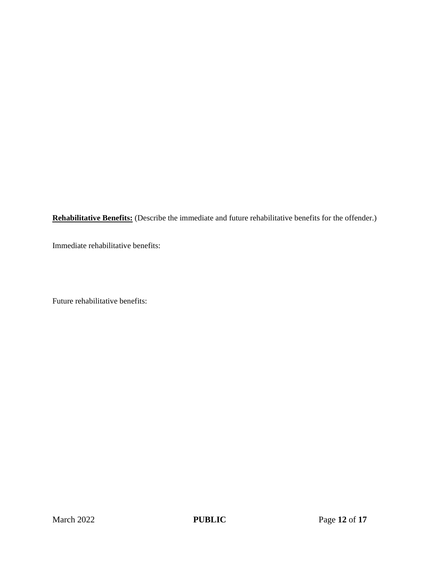**Rehabilitative Benefits:** (Describe the immediate and future rehabilitative benefits for the offender.)

Immediate rehabilitative benefits:

Future rehabilitative benefits: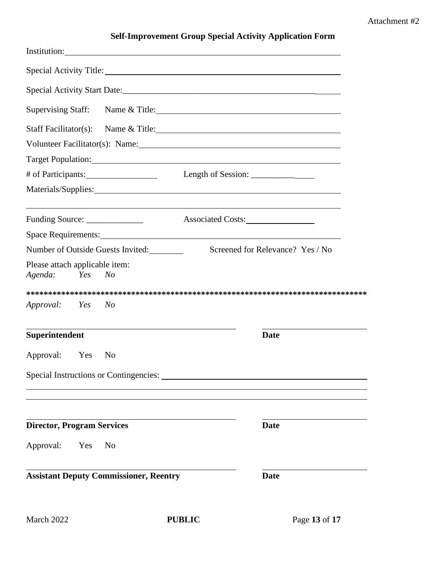#### Attachment #2

|                                                                    | Special Activity Title: 1988                                                                                                                                                                                                   |
|--------------------------------------------------------------------|--------------------------------------------------------------------------------------------------------------------------------------------------------------------------------------------------------------------------------|
|                                                                    |                                                                                                                                                                                                                                |
|                                                                    | Supervising Staff: Name & Title: 1998                                                                                                                                                                                          |
|                                                                    | Staff Facilitator(s): Name & Title: 1998 Manual Manual Manual Manual Manual Manual Manual Manual Manual Manual                                                                                                                 |
|                                                                    |                                                                                                                                                                                                                                |
|                                                                    | Target Population: Note that the contract of the contract of the contract of the contract of the contract of the contract of the contract of the contract of the contract of the contract of the contract of the contract of t |
|                                                                    |                                                                                                                                                                                                                                |
|                                                                    | Materials/Supplies: 1997 Materials/Supplies: 1997 Materials/Supplies: 1997 Materials/Supplies: 1997 Materials                                                                                                                  |
| Funding Source: _______________                                    | Associated Costs:                                                                                                                                                                                                              |
| Space Requirements: No. 2014 19:30 Space Requirements:             |                                                                                                                                                                                                                                |
| Number of Outside Guests Invited:                                  | Screened for Relevance? Yes / No                                                                                                                                                                                               |
| Please attach applicable item:<br>Agenda:<br>Yes<br>N <sub>O</sub> |                                                                                                                                                                                                                                |
|                                                                    |                                                                                                                                                                                                                                |
|                                                                    |                                                                                                                                                                                                                                |
| <i>Approval:</i> Yes<br>No                                         |                                                                                                                                                                                                                                |
| Superintendent                                                     | <b>Date</b>                                                                                                                                                                                                                    |
| Approval: Yes<br>N <sub>0</sub>                                    |                                                                                                                                                                                                                                |
| Special Instructions or Contingencies:                             |                                                                                                                                                                                                                                |
|                                                                    |                                                                                                                                                                                                                                |
| <b>Director, Program Services</b>                                  | <b>Date</b>                                                                                                                                                                                                                    |
| Approval:<br>Yes<br>N <sub>0</sub>                                 |                                                                                                                                                                                                                                |
| <b>Assistant Deputy Commissioner, Reentry</b>                      | <b>Date</b>                                                                                                                                                                                                                    |

**Self-Improvement Group Special Activity Application Form**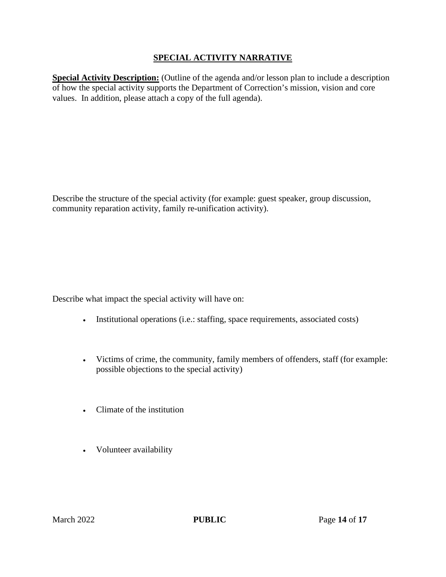## **SPECIAL ACTIVITY NARRATIVE**

**Special Activity Description:** (Outline of the agenda and/or lesson plan to include a description of how the special activity supports the Department of Correction's mission, vision and core values. In addition, please attach a copy of the full agenda).

Describe the structure of the special activity (for example: guest speaker, group discussion, community reparation activity, family re-unification activity).

Describe what impact the special activity will have on:

- Institutional operations (i.e.: staffing, space requirements, associated costs)
- Victims of crime, the community, family members of offenders, staff (for example: possible objections to the special activity)
- Climate of the institution
- Volunteer availability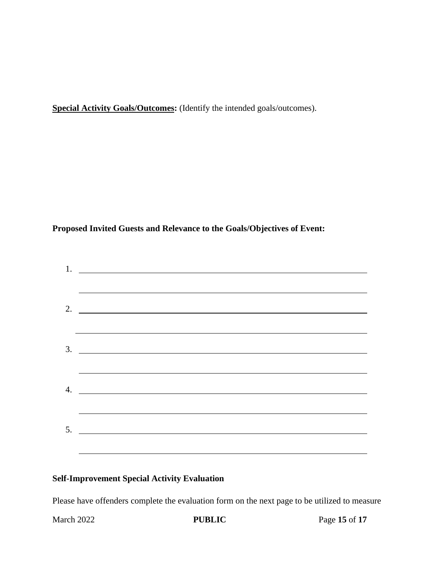**Special Activity Goals/Outcomes:** (Identify the intended goals/outcomes).

**Proposed Invited Guests and Relevance to the Goals/Objectives of Event:**

| $1.$ $\frac{1}{2}$ $\frac{1}{2}$ $\frac{1}{2}$ $\frac{1}{2}$ $\frac{1}{2}$ $\frac{1}{2}$ $\frac{1}{2}$ $\frac{1}{2}$ $\frac{1}{2}$ $\frac{1}{2}$ $\frac{1}{2}$ $\frac{1}{2}$ $\frac{1}{2}$ $\frac{1}{2}$ $\frac{1}{2}$ $\frac{1}{2}$ $\frac{1}{2}$ $\frac{1}{2}$ $\frac{1}{2}$ $\frac{1}{2}$ $\frac{1}{2}$ $\frac{1}{$ |
|------------------------------------------------------------------------------------------------------------------------------------------------------------------------------------------------------------------------------------------------------------------------------------------------------------------------|
|                                                                                                                                                                                                                                                                                                                        |
| 2. $\qquad \qquad$                                                                                                                                                                                                                                                                                                     |
|                                                                                                                                                                                                                                                                                                                        |
|                                                                                                                                                                                                                                                                                                                        |
|                                                                                                                                                                                                                                                                                                                        |
| 4. $\qquad \qquad$                                                                                                                                                                                                                                                                                                     |
|                                                                                                                                                                                                                                                                                                                        |
| $5.$ $\overline{\phantom{0}}$                                                                                                                                                                                                                                                                                          |
|                                                                                                                                                                                                                                                                                                                        |

# **Self-Improvement Special Activity Evaluation**

Please have offenders complete the evaluation form on the next page to be utilized to measure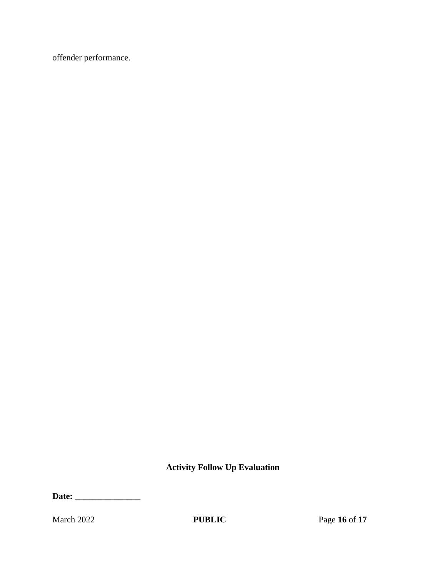offender performance.

**Activity Follow Up Evaluation**

**Date: \_\_\_\_\_\_\_\_\_\_\_\_\_\_\_**